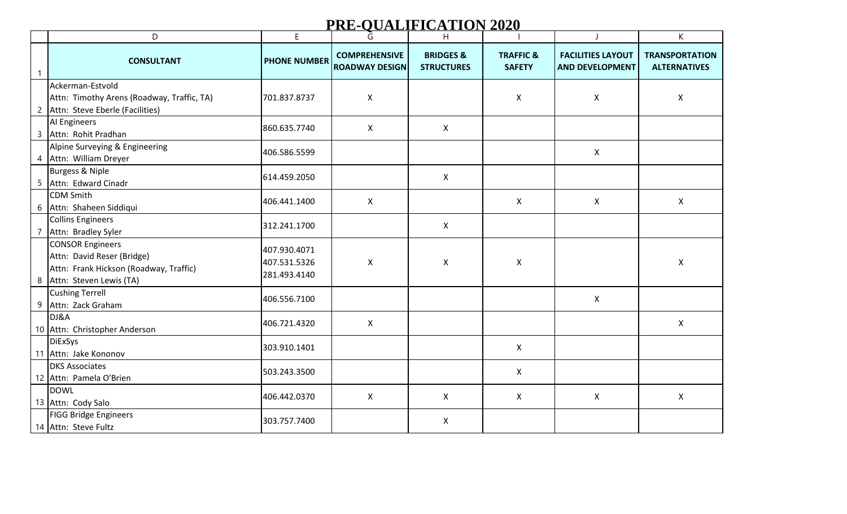## **PRE-QUALIFICATION 2020**

|                | D                                                                                                                            | E                                            | Ğ                                             | H                                         |                                       |                                                    | K                                            |
|----------------|------------------------------------------------------------------------------------------------------------------------------|----------------------------------------------|-----------------------------------------------|-------------------------------------------|---------------------------------------|----------------------------------------------------|----------------------------------------------|
| $\mathbf{1}$   | <b>CONSULTANT</b>                                                                                                            | <b>PHONE NUMBER</b>                          | <b>COMPREHENSIVE</b><br><b>ROADWAY DESIGN</b> | <b>BRIDGES &amp;</b><br><b>STRUCTURES</b> | <b>TRAFFIC &amp;</b><br><b>SAFETY</b> | <b>FACILITIES LAYOUT</b><br><b>AND DEVELOPMENT</b> | <b>TRANSPORTATION</b><br><b>ALTERNATIVES</b> |
| $\overline{c}$ | Ackerman-Estvold<br>Attn: Timothy Arens (Roadway, Traffic, TA)<br>Attn: Steve Eberle (Facilities)                            | 701.837.8737                                 | X                                             |                                           | X                                     | X                                                  | X                                            |
|                | AI Engineers<br>3 Attn: Rohit Pradhan                                                                                        | 860.635.7740                                 | $\mathsf{X}$                                  | X                                         |                                       |                                                    |                                              |
| 4              | Alpine Surveying & Engineering<br>Attn: William Dreyer                                                                       | 406.586.5599                                 |                                               |                                           |                                       | X                                                  |                                              |
|                | Burgess & Niple<br>5 Attn: Edward Cinadr                                                                                     | 614.459.2050                                 |                                               | X                                         |                                       |                                                    |                                              |
|                | <b>CDM</b> Smith<br>6 Attn: Shaheen Siddiqui                                                                                 | 406.441.1400                                 | $\mathsf{X}$                                  |                                           | $\mathsf{X}$                          | $\mathsf{X}$                                       | $\mathsf{X}$                                 |
|                | <b>Collins Engineers</b><br>7 Attn: Bradley Syler                                                                            | 312.241.1700                                 |                                               | X                                         |                                       |                                                    |                                              |
|                | <b>CONSOR Engineers</b><br>Attn: David Reser (Bridge)<br>Attn: Frank Hickson (Roadway, Traffic)<br>8 Attn: Steven Lewis (TA) | 407.930.4071<br>407.531.5326<br>281.493.4140 | $\mathsf{X}$                                  | $\mathsf{X}$                              | $\mathsf{X}$                          |                                                    | $\pmb{\times}$                               |
|                | <b>Cushing Terrell</b><br>9 Attn: Zack Graham                                                                                | 406.556.7100                                 |                                               |                                           |                                       | $\mathsf{X}$                                       |                                              |
|                | DJ&A<br>10 Attn: Christopher Anderson                                                                                        | 406.721.4320                                 | X                                             |                                           |                                       |                                                    | X                                            |
|                | <b>DiExSys</b><br>11 Attn: Jake Kononov                                                                                      | 303.910.1401                                 |                                               |                                           | $\mathsf{X}$                          |                                                    |                                              |
|                | <b>DKS Associates</b><br>12 Attn: Pamela O'Brien                                                                             | 503.243.3500                                 |                                               |                                           | $\mathsf{X}$                          |                                                    |                                              |
|                | <b>DOWL</b><br>13 Attn: Cody Salo                                                                                            | 406.442.0370                                 | $\mathsf{X}$                                  | $\mathsf{X}$                              | $\mathsf{X}$                          | X                                                  | $\mathsf{X}$                                 |
|                | <b>FIGG Bridge Engineers</b><br>14 Attn: Steve Fultz                                                                         | 303.757.7400                                 |                                               | $\mathsf{X}$                              |                                       |                                                    |                                              |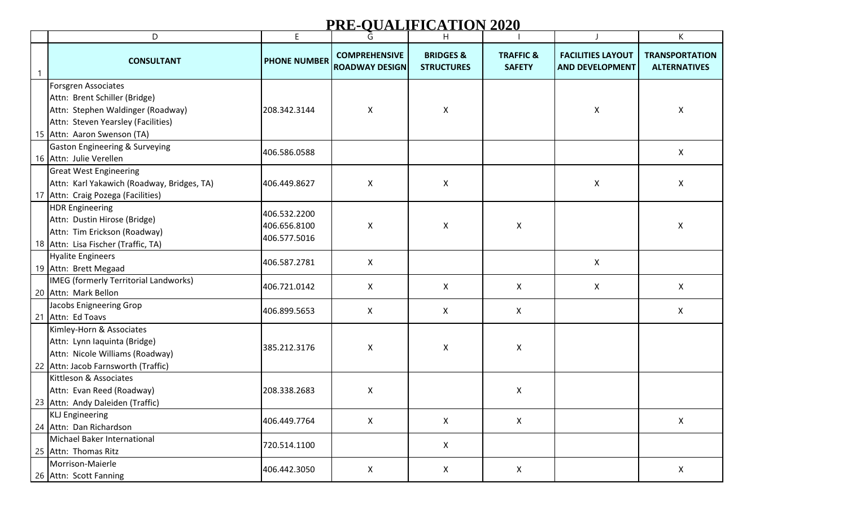## **PRE-QUALIFICATION 2020**

|              | D                                                                                                                                                              | E                                            | Ğ                                             | H.                                        |                                       | - 1                                                | K                                            |
|--------------|----------------------------------------------------------------------------------------------------------------------------------------------------------------|----------------------------------------------|-----------------------------------------------|-------------------------------------------|---------------------------------------|----------------------------------------------------|----------------------------------------------|
| $\mathbf{1}$ | <b>CONSULTANT</b>                                                                                                                                              | <b>PHONE NUMBER</b>                          | <b>COMPREHENSIVE</b><br><b>ROADWAY DESIGN</b> | <b>BRIDGES &amp;</b><br><b>STRUCTURES</b> | <b>TRAFFIC &amp;</b><br><b>SAFETY</b> | <b>FACILITIES LAYOUT</b><br><b>AND DEVELOPMENT</b> | <b>TRANSPORTATION</b><br><b>ALTERNATIVES</b> |
|              | Forsgren Associates<br>Attn: Brent Schiller (Bridge)<br>Attn: Stephen Waldinger (Roadway)<br>Attn: Steven Yearsley (Facilities)<br>15 Attn: Aaron Swenson (TA) | 208.342.3144                                 | X                                             | X                                         |                                       | X                                                  | $\pmb{\times}$                               |
|              | <b>Gaston Engineering &amp; Surveying</b><br>16 Attn: Julie Verellen                                                                                           | 406.586.0588                                 |                                               |                                           |                                       |                                                    | $\pmb{\mathsf{X}}$                           |
|              | <b>Great West Engineering</b><br>Attn: Karl Yakawich (Roadway, Bridges, TA)<br>17 Attn: Craig Pozega (Facilities)                                              | 406.449.8627                                 | X                                             | X                                         |                                       | X                                                  | X                                            |
|              | <b>HDR Engineering</b><br>Attn: Dustin Hirose (Bridge)<br>Attn: Tim Erickson (Roadway)<br>18 Attn: Lisa Fischer (Traffic, TA)                                  | 406.532.2200<br>406.656.8100<br>406.577.5016 | X                                             | X                                         | X                                     |                                                    | $\pmb{\times}$                               |
|              | Hyalite Engineers<br>19 Attn: Brett Megaad                                                                                                                     | 406.587.2781                                 | $\mathsf{X}$                                  |                                           |                                       | $\mathsf{X}$                                       |                                              |
|              | IMEG (formerly Territorial Landworks)<br>20 Attn: Mark Bellon                                                                                                  | 406.721.0142                                 | X                                             | X                                         | X                                     | X                                                  | X                                            |
|              | Jacobs Enigneering Grop<br>21 Attn: Ed Toavs                                                                                                                   | 406.899.5653                                 | X                                             | X.                                        | $\mathsf{X}$                          |                                                    | X                                            |
|              | Kimley-Horn & Associates<br>Attn: Lynn Iaquinta (Bridge)<br>Attn: Nicole Williams (Roadway)<br>22 Attn: Jacob Farnsworth (Traffic)                             | 385.212.3176                                 | X                                             | X                                         | X                                     |                                                    |                                              |
|              | Kittleson & Associates<br>Attn: Evan Reed (Roadway)<br>23 Attn: Andy Daleiden (Traffic)                                                                        | 208.338.2683                                 | X                                             |                                           | X                                     |                                                    |                                              |
|              | <b>KLJ</b> Engineering<br>24 Attn: Dan Richardson                                                                                                              | 406.449.7764                                 | X                                             | X                                         | X                                     |                                                    | X                                            |
|              | Michael Baker International<br>25 Attn: Thomas Ritz                                                                                                            | 720.514.1100                                 |                                               | X                                         |                                       |                                                    |                                              |
|              | Morrison-Maierle<br>26 Attn: Scott Fanning                                                                                                                     | 406.442.3050                                 | X                                             | X                                         | X                                     |                                                    | X                                            |